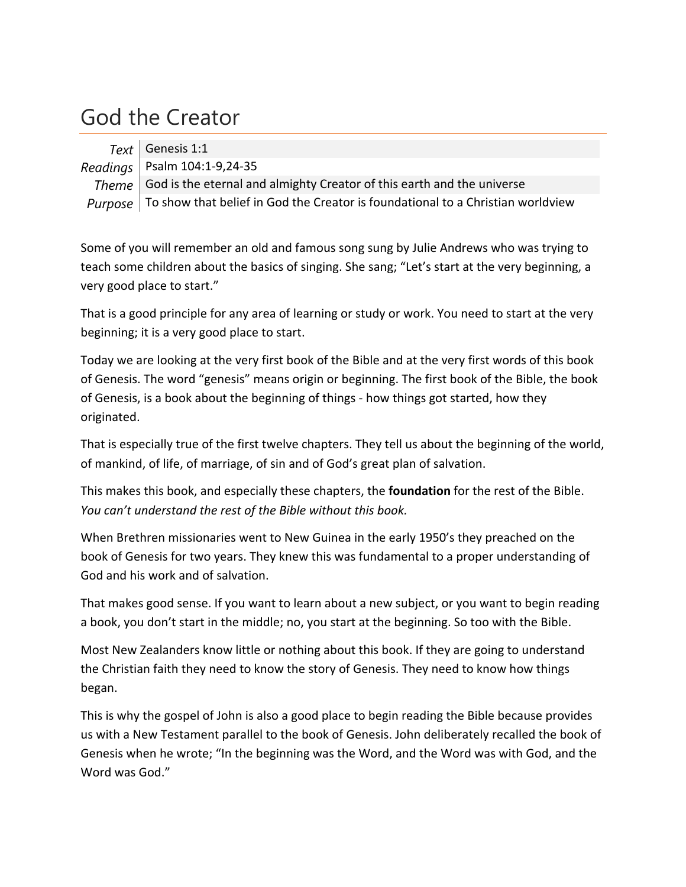## God the Creator

 $Text$  Genesis 1:1 *Readings* Psalm 104:1‐9,24‐35 *Theme* God is the eternal and almighty Creator of this earth and the universe *Purpose*  $\vert$  To show that belief in God the Creator is foundational to a Christian worldview

Some of you will remember an old and famous song sung by Julie Andrews who was trying to teach some children about the basics of singing. She sang; "Let's start at the very beginning, a very good place to start."

That is a good principle for any area of learning or study or work. You need to start at the very beginning; it is a very good place to start.

Today we are looking at the very first book of the Bible and at the very first words of this book of Genesis. The word "genesis" means origin or beginning. The first book of the Bible, the book of Genesis, is a book about the beginning of things ‐ how things got started, how they originated.

That is especially true of the first twelve chapters. They tell us about the beginning of the world, of mankind, of life, of marriage, of sin and of God's great plan of salvation.

This makes this book, and especially these chapters, the **foundation** for the rest of the Bible. *You can't understand the rest of the Bible without this book.*

When Brethren missionaries went to New Guinea in the early 1950's they preached on the book of Genesis for two years. They knew this was fundamental to a proper understanding of God and his work and of salvation.

That makes good sense. If you want to learn about a new subject, or you want to begin reading a book, you don't start in the middle; no, you start at the beginning. So too with the Bible.

Most New Zealanders know little or nothing about this book. If they are going to understand the Christian faith they need to know the story of Genesis. They need to know how things began.

This is why the gospel of John is also a good place to begin reading the Bible because provides us with a New Testament parallel to the book of Genesis. John deliberately recalled the book of Genesis when he wrote; "In the beginning was the Word, and the Word was with God, and the Word was God."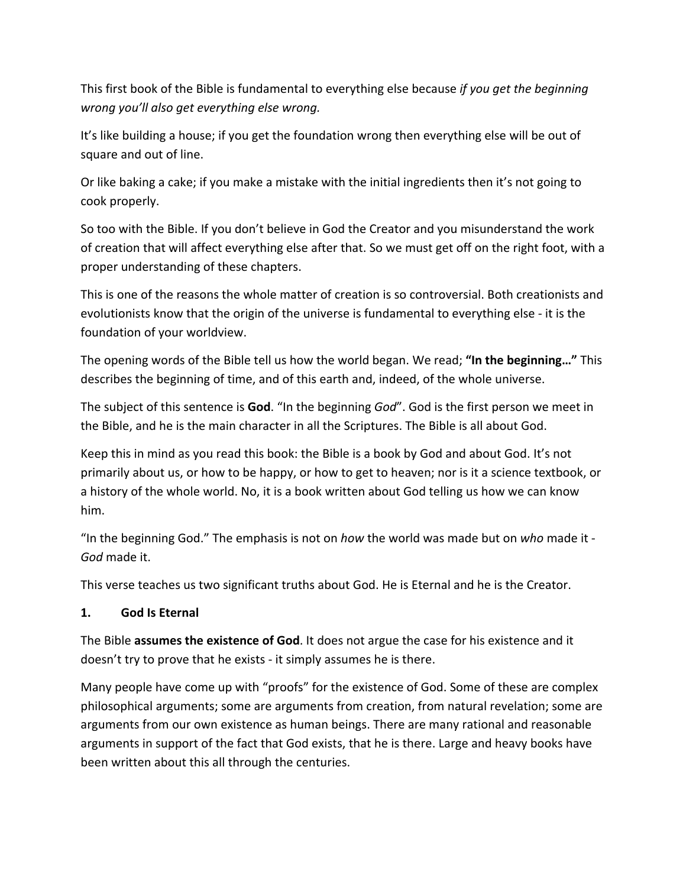This first book of the Bible is fundamental to everything else because *if you get the beginning wrong you'll also get everything else wrong.*

It's like building a house; if you get the foundation wrong then everything else will be out of square and out of line.

Or like baking a cake; if you make a mistake with the initial ingredients then it's not going to cook properly.

So too with the Bible. If you don't believe in God the Creator and you misunderstand the work of creation that will affect everything else after that. So we must get off on the right foot, with a proper understanding of these chapters.

This is one of the reasons the whole matter of creation is so controversial. Both creationists and evolutionists know that the origin of the universe is fundamental to everything else ‐ it is the foundation of your worldview.

The opening words of the Bible tell us how the world began. We read; **"In the beginning…"** This describes the beginning of time, and of this earth and, indeed, of the whole universe.

The subject of this sentence is **God**. "In the beginning *God*". God is the first person we meet in the Bible, and he is the main character in all the Scriptures. The Bible is all about God.

Keep this in mind as you read this book: the Bible is a book by God and about God. It's not primarily about us, or how to be happy, or how to get to heaven; nor is it a science textbook, or a history of the whole world. No, it is a book written about God telling us how we can know him.

"In the beginning God." The emphasis is not on *how* the world was made but on *who* made it ‐ *God* made it.

This verse teaches us two significant truths about God. He is Eternal and he is the Creator.

## **1. God Is Eternal**

The Bible **assumes the existence of God**. It does not argue the case for his existence and it doesn't try to prove that he exists ‐ it simply assumes he is there.

Many people have come up with "proofs" for the existence of God. Some of these are complex philosophical arguments; some are arguments from creation, from natural revelation; some are arguments from our own existence as human beings. There are many rational and reasonable arguments in support of the fact that God exists, that he is there. Large and heavy books have been written about this all through the centuries.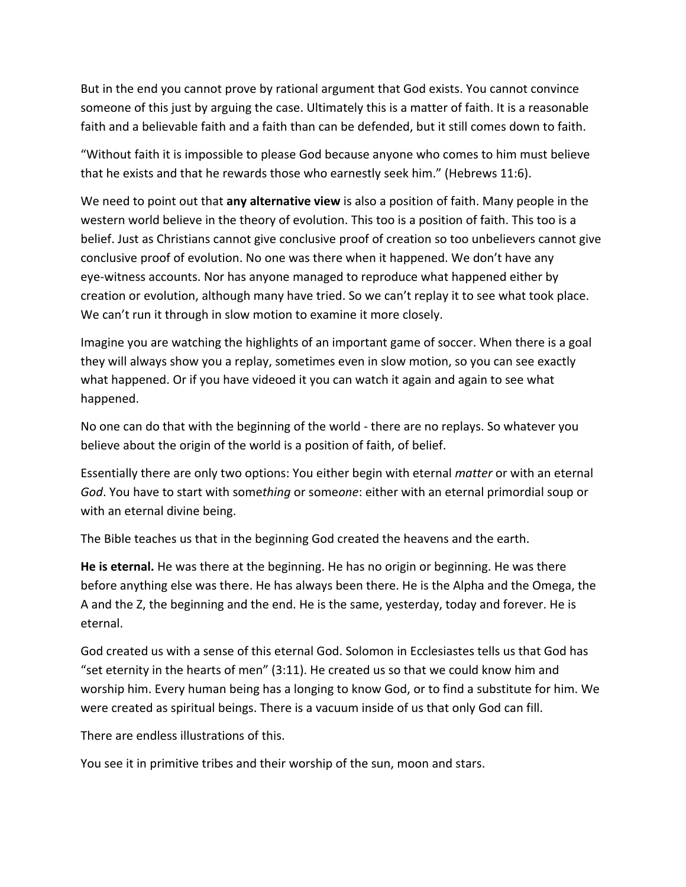But in the end you cannot prove by rational argument that God exists. You cannot convince someone of this just by arguing the case. Ultimately this is a matter of faith. It is a reasonable faith and a believable faith and a faith than can be defended, but it still comes down to faith.

"Without faith it is impossible to please God because anyone who comes to him must believe that he exists and that he rewards those who earnestly seek him." (Hebrews 11:6).

We need to point out that **any alternative view** is also a position of faith. Many people in the western world believe in the theory of evolution. This too is a position of faith. This too is a belief. Just as Christians cannot give conclusive proof of creation so too unbelievers cannot give conclusive proof of evolution. No one was there when it happened. We don't have any eye‐witness accounts. Nor has anyone managed to reproduce what happened either by creation or evolution, although many have tried. So we can't replay it to see what took place. We can't run it through in slow motion to examine it more closely.

Imagine you are watching the highlights of an important game of soccer. When there is a goal they will always show you a replay, sometimes even in slow motion, so you can see exactly what happened. Or if you have videoed it you can watch it again and again to see what happened.

No one can do that with the beginning of the world ‐ there are no replays. So whatever you believe about the origin of the world is a position of faith, of belief.

Essentially there are only two options: You either begin with eternal *matter* or with an eternal *God*. You have to start with some*thing* or some*one*: either with an eternal primordial soup or with an eternal divine being.

The Bible teaches us that in the beginning God created the heavens and the earth.

**He is eternal.** He was there at the beginning. He has no origin or beginning. He was there before anything else was there. He has always been there. He is the Alpha and the Omega, the A and the Z, the beginning and the end. He is the same, yesterday, today and forever. He is eternal.

God created us with a sense of this eternal God. Solomon in Ecclesiastes tells us that God has "set eternity in the hearts of men" (3:11). He created us so that we could know him and worship him. Every human being has a longing to know God, or to find a substitute for him. We were created as spiritual beings. There is a vacuum inside of us that only God can fill.

There are endless illustrations of this.

You see it in primitive tribes and their worship of the sun, moon and stars.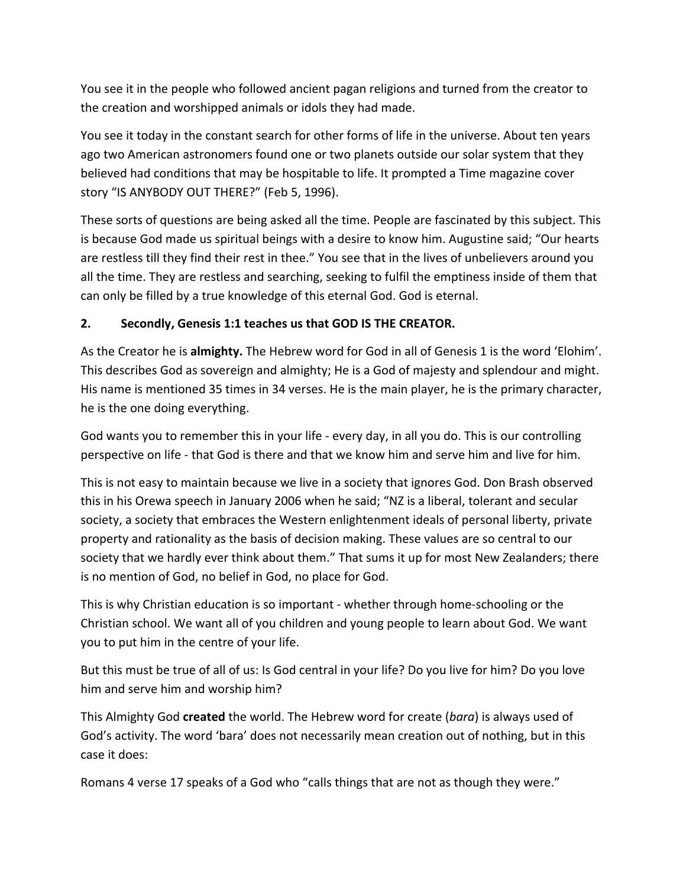You see it in the people who followed ancient pagan religions and turned from the creator to the creation and worshipped animals or idols they had made.

You see it today in the constant search for other forms of life in the universe. About ten years ago two American astronomers found one or two planets outside our solar system that they believed had conditions that may be hospitable to life. It prompted a Time magazine cover story "IS ANYBODY OUT THERE?" (Feb 5, 1996).

These sorts of questions are being asked all the time. People are fascinated by this subject. This is because God made us spiritual beings with a desire to know him. Augustine said; "Our hearts are restless till they find their rest in thee." You see that in the lives of unbelievers around you all the time. They are restless and searching, seeking to fulfil the emptiness inside of them that can only be filled by a true knowledge of this eternal God. God is eternal.

## **2. Secondly, Genesis 1:1 teaches us that GOD IS THE CREATOR.**

As the Creator he is **almighty.** The Hebrew word for God in all of Genesis 1 is the word 'Elohim'. This describes God as sovereign and almighty; He is a God of majesty and splendour and might. His name is mentioned 35 times in 34 verses. He is the main player, he is the primary character, he is the one doing everything.

God wants you to remember this in your life ‐ every day, in all you do. This is our controlling perspective on life ‐ that God is there and that we know him and serve him and live for him.

This is not easy to maintain because we live in a society that ignores God. Don Brash observed this in his Orewa speech in January 2006 when he said; "NZ is a liberal, tolerant and secular society, a society that embraces the Western enlightenment ideals of personal liberty, private property and rationality as the basis of decision making. These values are so central to our society that we hardly ever think about them." That sums it up for most New Zealanders; there is no mention of God, no belief in God, no place for God.

This is why Christian education is so important ‐ whether through home‐schooling or the Christian school. We want all of you children and young people to learn about God. We want you to put him in the centre of your life.

But this must be true of all of us: Is God central in your life? Do you live for him? Do you love him and serve him and worship him?

This Almighty God **created** the world. The Hebrew word for create (*bara*) is always used of God's activity. The word 'bara' does not necessarily mean creation out of nothing, but in this case it does:

Romans 4 verse 17 speaks of a God who "calls things that are not as though they were."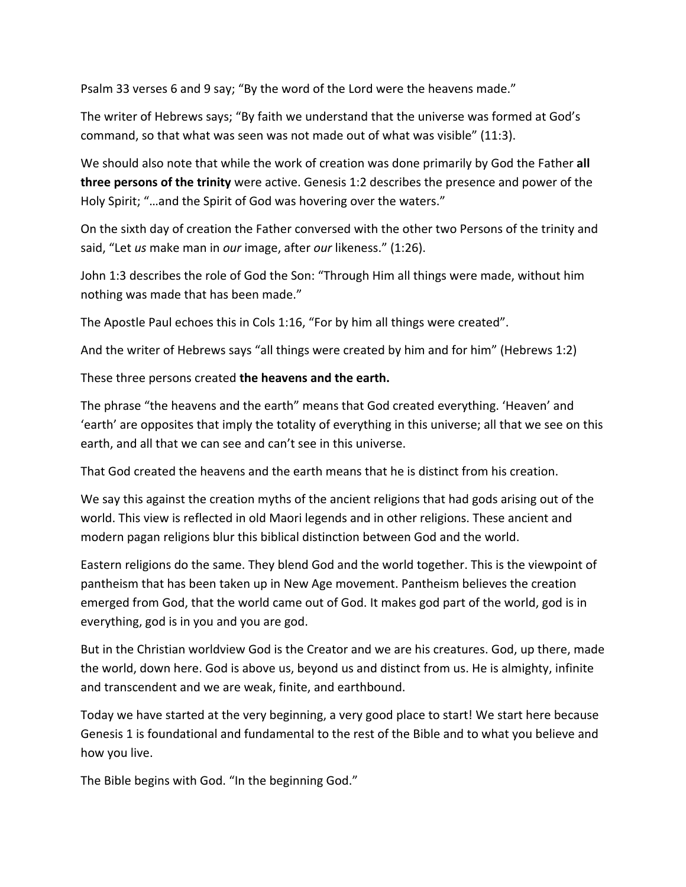Psalm 33 verses 6 and 9 say; "By the word of the Lord were the heavens made."

The writer of Hebrews says; "By faith we understand that the universe was formed at God's command, so that what was seen was not made out of what was visible" (11:3).

We should also note that while the work of creation was done primarily by God the Father **all three persons of the trinity** were active. Genesis 1:2 describes the presence and power of the Holy Spirit; "…and the Spirit of God was hovering over the waters."

On the sixth day of creation the Father conversed with the other two Persons of the trinity and said, "Let *us* make man in *our* image, after *our* likeness." (1:26).

John 1:3 describes the role of God the Son: "Through Him all things were made, without him nothing was made that has been made."

The Apostle Paul echoes this in Cols 1:16, "For by him all things were created".

And the writer of Hebrews says "all things were created by him and for him" (Hebrews 1:2)

These three persons created **the heavens and the earth.**

The phrase "the heavens and the earth" means that God created everything. 'Heaven' and 'earth' are opposites that imply the totality of everything in this universe; all that we see on this earth, and all that we can see and can't see in this universe.

That God created the heavens and the earth means that he is distinct from his creation.

We say this against the creation myths of the ancient religions that had gods arising out of the world. This view is reflected in old Maori legends and in other religions. These ancient and modern pagan religions blur this biblical distinction between God and the world.

Eastern religions do the same. They blend God and the world together. This is the viewpoint of pantheism that has been taken up in New Age movement. Pantheism believes the creation emerged from God, that the world came out of God. It makes god part of the world, god is in everything, god is in you and you are god.

But in the Christian worldview God is the Creator and we are his creatures. God, up there, made the world, down here. God is above us, beyond us and distinct from us. He is almighty, infinite and transcendent and we are weak, finite, and earthbound.

Today we have started at the very beginning, a very good place to start! We start here because Genesis 1 is foundational and fundamental to the rest of the Bible and to what you believe and how you live.

The Bible begins with God. "In the beginning God."